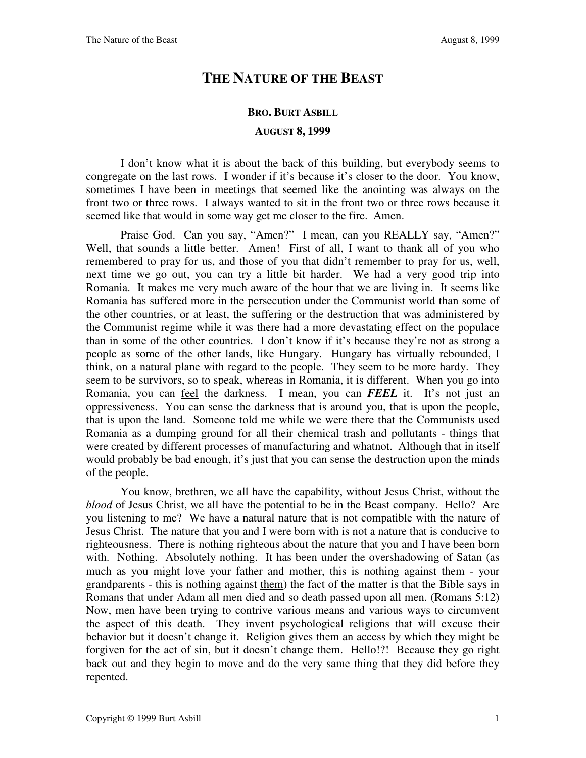## **THE NATURE OF THE BEAST**

## **BRO. BURT ASBILL**

## **AUGUST 8, 1999**

I don't know what it is about the back of this building, but everybody seems to congregate on the last rows. I wonder if it's because it's closer to the door. You know, sometimes I have been in meetings that seemed like the anointing was always on the front two or three rows. I always wanted to sit in the front two or three rows because it seemed like that would in some way get me closer to the fire. Amen.

Praise God. Can you say, "Amen?" I mean, can you REALLY say, "Amen?" Well, that sounds a little better. Amen! First of all, I want to thank all of you who remembered to pray for us, and those of you that didn't remember to pray for us, well, next time we go out, you can try a little bit harder. We had a very good trip into Romania. It makes me very much aware of the hour that we are living in. It seems like Romania has suffered more in the persecution under the Communist world than some of the other countries, or at least, the suffering or the destruction that was administered by the Communist regime while it was there had a more devastating effect on the populace than in some of the other countries. I don't know if it's because they're not as strong a people as some of the other lands, like Hungary. Hungary has virtually rebounded, I think, on a natural plane with regard to the people. They seem to be more hardy. They seem to be survivors, so to speak, whereas in Romania, it is different. When you go into Romania, you can feel the darkness. I mean, you can *FEEL* it. It's not just an oppressiveness. You can sense the darkness that is around you, that is upon the people, that is upon the land. Someone told me while we were there that the Communists used Romania as a dumping ground for all their chemical trash and pollutants - things that were created by different processes of manufacturing and whatnot. Although that in itself would probably be bad enough, it's just that you can sense the destruction upon the minds of the people.

You know, brethren, we all have the capability, without Jesus Christ, without the *blood* of Jesus Christ, we all have the potential to be in the Beast company. Hello? Are you listening to me? We have a natural nature that is not compatible with the nature of Jesus Christ. The nature that you and I were born with is not a nature that is conducive to righteousness. There is nothing righteous about the nature that you and I have been born with. Nothing. Absolutely nothing. It has been under the overshadowing of Satan (as much as you might love your father and mother, this is nothing against them - your grandparents - this is nothing against them) the fact of the matter is that the Bible says in Romans that under Adam all men died and so death passed upon all men. (Romans 5:12) Now, men have been trying to contrive various means and various ways to circumvent the aspect of this death. They invent psychological religions that will excuse their behavior but it doesn't change it. Religion gives them an access by which they might be forgiven for the act of sin, but it doesn't change them. Hello!?! Because they go right back out and they begin to move and do the very same thing that they did before they repented.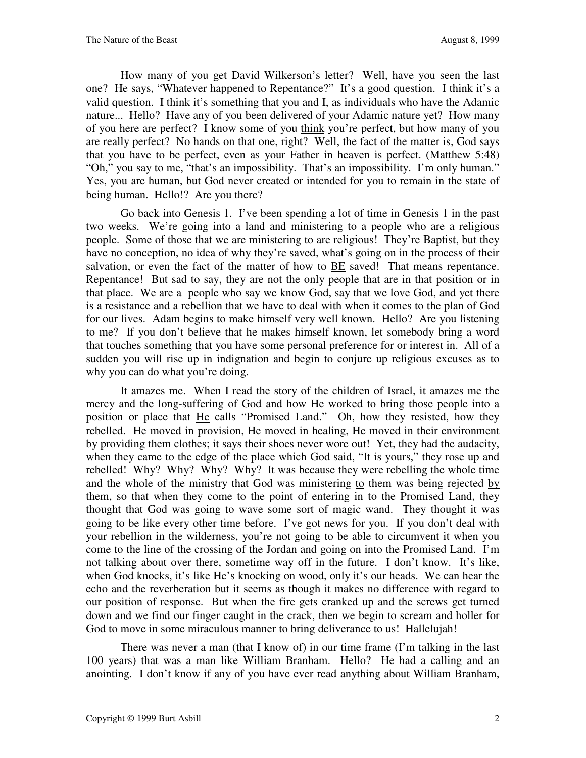How many of you get David Wilkerson's letter? Well, have you seen the last one? He says, "Whatever happened to Repentance?" It's a good question. I think it's a valid question. I think it's something that you and I, as individuals who have the Adamic nature... Hello? Have any of you been delivered of your Adamic nature yet? How many of you here are perfect? I know some of you think you're perfect, but how many of you are really perfect? No hands on that one, right? Well, the fact of the matter is, God says that you have to be perfect, even as your Father in heaven is perfect. (Matthew 5:48) "Oh," you say to me, "that's an impossibility. That's an impossibility. I'm only human." Yes, you are human, but God never created or intended for you to remain in the state of being human. Hello!? Are you there?

Go back into Genesis 1. I've been spending a lot of time in Genesis 1 in the past two weeks. We're going into a land and ministering to a people who are a religious people. Some of those that we are ministering to are religious! They're Baptist, but they have no conception, no idea of why they're saved, what's going on in the process of their salvation, or even the fact of the matter of how to BE saved! That means repentance. Repentance! But sad to say, they are not the only people that are in that position or in that place. We are a people who say we know God, say that we love God, and yet there is a resistance and a rebellion that we have to deal with when it comes to the plan of God for our lives. Adam begins to make himself very well known. Hello? Are you listening to me? If you don't believe that he makes himself known, let somebody bring a word that touches something that you have some personal preference for or interest in. All of a sudden you will rise up in indignation and begin to conjure up religious excuses as to why you can do what you're doing.

It amazes me. When I read the story of the children of Israel, it amazes me the mercy and the long-suffering of God and how He worked to bring those people into a position or place that He calls "Promised Land." Oh, how they resisted, how they rebelled. He moved in provision, He moved in healing, He moved in their environment by providing them clothes; it says their shoes never wore out! Yet, they had the audacity, when they came to the edge of the place which God said, "It is yours," they rose up and rebelled! Why? Why? Why? Why? It was because they were rebelling the whole time and the whole of the ministry that God was ministering to them was being rejected by them, so that when they come to the point of entering in to the Promised Land, they thought that God was going to wave some sort of magic wand. They thought it was going to be like every other time before. I've got news for you. If you don't deal with your rebellion in the wilderness, you're not going to be able to circumvent it when you come to the line of the crossing of the Jordan and going on into the Promised Land. I'm not talking about over there, sometime way off in the future. I don't know. It's like, when God knocks, it's like He's knocking on wood, only it's our heads. We can hear the echo and the reverberation but it seems as though it makes no difference with regard to our position of response. But when the fire gets cranked up and the screws get turned down and we find our finger caught in the crack, then we begin to scream and holler for God to move in some miraculous manner to bring deliverance to us! Hallelujah!

There was never a man (that I know of) in our time frame (I'm talking in the last 100 years) that was a man like William Branham. Hello? He had a calling and an anointing. I don't know if any of you have ever read anything about William Branham,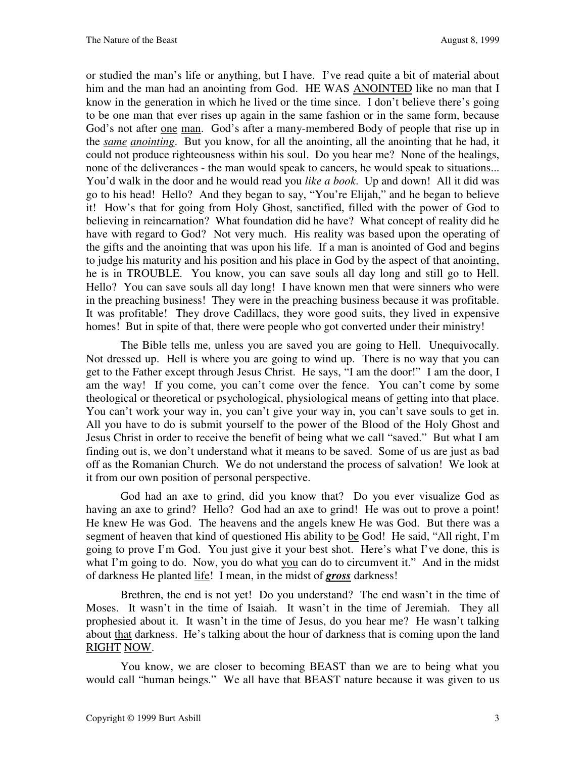or studied the man's life or anything, but I have. I've read quite a bit of material about him and the man had an anointing from God. HE WAS ANOINTED like no man that I know in the generation in which he lived or the time since. I don't believe there's going to be one man that ever rises up again in the same fashion or in the same form, because God's not after one man. God's after a many-membered Body of people that rise up in the *same anointing*. But you know, for all the anointing, all the anointing that he had, it could not produce righteousness within his soul. Do you hear me? None of the healings, none of the deliverances - the man would speak to cancers, he would speak to situations... You'd walk in the door and he would read you *like a book*. Up and down! All it did was go to his head! Hello? And they began to say, "You're Elijah," and he began to believe it! How's that for going from Holy Ghost, sanctified, filled with the power of God to believing in reincarnation? What foundation did he have? What concept of reality did he have with regard to God? Not very much. His reality was based upon the operating of the gifts and the anointing that was upon his life. If a man is anointed of God and begins to judge his maturity and his position and his place in God by the aspect of that anointing, he is in TROUBLE. You know, you can save souls all day long and still go to Hell. Hello? You can save souls all day long! I have known men that were sinners who were in the preaching business! They were in the preaching business because it was profitable. It was profitable! They drove Cadillacs, they wore good suits, they lived in expensive homes! But in spite of that, there were people who got converted under their ministry!

The Bible tells me, unless you are saved you are going to Hell. Unequivocally. Not dressed up. Hell is where you are going to wind up. There is no way that you can get to the Father except through Jesus Christ. He says, "I am the door!" I am the door, I am the way! If you come, you can't come over the fence. You can't come by some theological or theoretical or psychological, physiological means of getting into that place. You can't work your way in, you can't give your way in, you can't save souls to get in. All you have to do is submit yourself to the power of the Blood of the Holy Ghost and Jesus Christ in order to receive the benefit of being what we call "saved." But what I am finding out is, we don't understand what it means to be saved. Some of us are just as bad off as the Romanian Church. We do not understand the process of salvation! We look at it from our own position of personal perspective.

God had an axe to grind, did you know that? Do you ever visualize God as having an axe to grind? Hello? God had an axe to grind! He was out to prove a point! He knew He was God. The heavens and the angels knew He was God. But there was a segment of heaven that kind of questioned His ability to be God! He said, "All right, I'm going to prove I'm God. You just give it your best shot. Here's what I've done, this is what I'm going to do. Now, you do what you can do to circumvent it." And in the midst of darkness He planted life! I mean, in the midst of *gross* darkness!

Brethren, the end is not yet! Do you understand? The end wasn't in the time of Moses. It wasn't in the time of Isaiah. It wasn't in the time of Jeremiah. They all prophesied about it. It wasn't in the time of Jesus, do you hear me? He wasn't talking about that darkness. He's talking about the hour of darkness that is coming upon the land RIGHT NOW.

You know, we are closer to becoming BEAST than we are to being what you would call "human beings." We all have that BEAST nature because it was given to us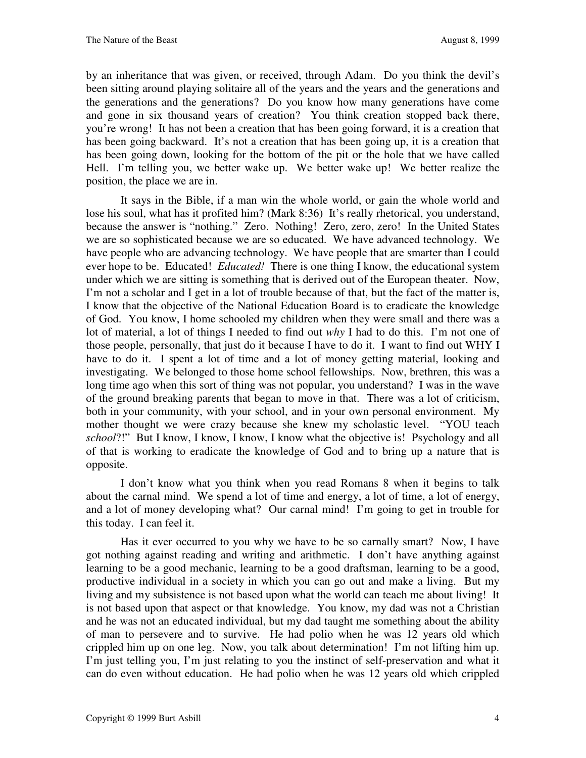by an inheritance that was given, or received, through Adam. Do you think the devil's been sitting around playing solitaire all of the years and the years and the generations and the generations and the generations? Do you know how many generations have come and gone in six thousand years of creation? You think creation stopped back there, you're wrong! It has not been a creation that has been going forward, it is a creation that has been going backward. It's not a creation that has been going up, it is a creation that has been going down, looking for the bottom of the pit or the hole that we have called Hell. I'm telling you, we better wake up. We better wake up! We better realize the position, the place we are in.

It says in the Bible, if a man win the whole world, or gain the whole world and lose his soul, what has it profited him? (Mark 8:36) It's really rhetorical, you understand, because the answer is "nothing." Zero. Nothing! Zero, zero, zero! In the United States we are so sophisticated because we are so educated. We have advanced technology. We have people who are advancing technology. We have people that are smarter than I could ever hope to be. Educated! *Educated!* There is one thing I know, the educational system under which we are sitting is something that is derived out of the European theater. Now, I'm not a scholar and I get in a lot of trouble because of that, but the fact of the matter is, I know that the objective of the National Education Board is to eradicate the knowledge of God. You know, I home schooled my children when they were small and there was a lot of material, a lot of things I needed to find out *why* I had to do this. I'm not one of those people, personally, that just do it because I have to do it. I want to find out WHY I have to do it. I spent a lot of time and a lot of money getting material, looking and investigating. We belonged to those home school fellowships. Now, brethren, this was a long time ago when this sort of thing was not popular, you understand? I was in the wave of the ground breaking parents that began to move in that. There was a lot of criticism, both in your community, with your school, and in your own personal environment. My mother thought we were crazy because she knew my scholastic level. "YOU teach *school*?!" But I know, I know, I know, I know what the objective is! Psychology and all of that is working to eradicate the knowledge of God and to bring up a nature that is opposite.

I don't know what you think when you read Romans 8 when it begins to talk about the carnal mind. We spend a lot of time and energy, a lot of time, a lot of energy, and a lot of money developing what? Our carnal mind! I'm going to get in trouble for this today. I can feel it.

Has it ever occurred to you why we have to be so carnally smart? Now, I have got nothing against reading and writing and arithmetic. I don't have anything against learning to be a good mechanic, learning to be a good draftsman, learning to be a good, productive individual in a society in which you can go out and make a living. But my living and my subsistence is not based upon what the world can teach me about living! It is not based upon that aspect or that knowledge. You know, my dad was not a Christian and he was not an educated individual, but my dad taught me something about the ability of man to persevere and to survive. He had polio when he was 12 years old which crippled him up on one leg. Now, you talk about determination! I'm not lifting him up. I'm just telling you, I'm just relating to you the instinct of self-preservation and what it can do even without education. He had polio when he was 12 years old which crippled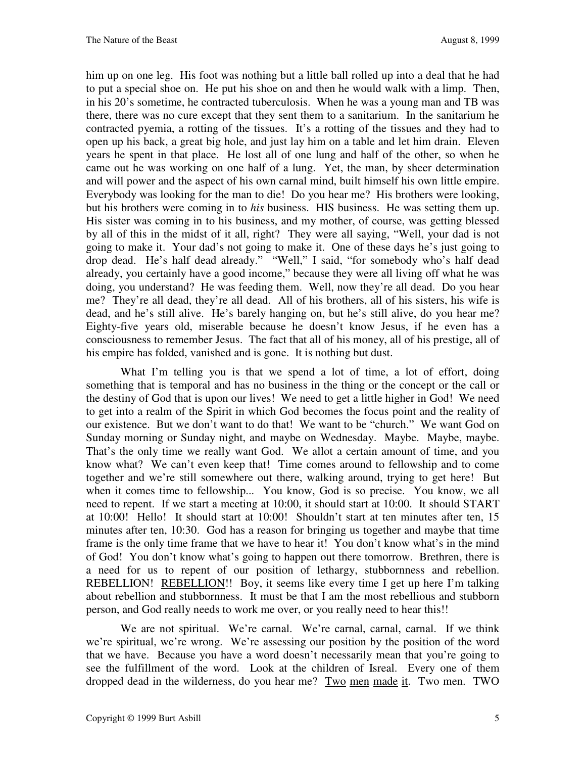him up on one leg. His foot was nothing but a little ball rolled up into a deal that he had to put a special shoe on. He put his shoe on and then he would walk with a limp. Then, in his 20's sometime, he contracted tuberculosis. When he was a young man and TB was there, there was no cure except that they sent them to a sanitarium. In the sanitarium he contracted pyemia, a rotting of the tissues. It's a rotting of the tissues and they had to open up his back, a great big hole, and just lay him on a table and let him drain. Eleven years he spent in that place. He lost all of one lung and half of the other, so when he came out he was working on one half of a lung. Yet, the man, by sheer determination and will power and the aspect of his own carnal mind, built himself his own little empire. Everybody was looking for the man to die! Do you hear me? His brothers were looking, but his brothers were coming in to *his* business. HIS business. He was setting them up. His sister was coming in to his business, and my mother, of course, was getting blessed by all of this in the midst of it all, right? They were all saying, "Well, your dad is not going to make it. Your dad's not going to make it. One of these days he's just going to drop dead. He's half dead already." "Well," I said, "for somebody who's half dead already, you certainly have a good income," because they were all living off what he was doing, you understand? He was feeding them. Well, now they're all dead. Do you hear me? They're all dead, they're all dead. All of his brothers, all of his sisters, his wife is dead, and he's still alive. He's barely hanging on, but he's still alive, do you hear me? Eighty-five years old, miserable because he doesn't know Jesus, if he even has a consciousness to remember Jesus. The fact that all of his money, all of his prestige, all of his empire has folded, vanished and is gone. It is nothing but dust.

What I'm telling you is that we spend a lot of time, a lot of effort, doing something that is temporal and has no business in the thing or the concept or the call or the destiny of God that is upon our lives! We need to get a little higher in God! We need to get into a realm of the Spirit in which God becomes the focus point and the reality of our existence. But we don't want to do that! We want to be "church." We want God on Sunday morning or Sunday night, and maybe on Wednesday. Maybe. Maybe, maybe. That's the only time we really want God. We allot a certain amount of time, and you know what? We can't even keep that! Time comes around to fellowship and to come together and we're still somewhere out there, walking around, trying to get here! But when it comes time to fellowship... You know, God is so precise. You know, we all need to repent. If we start a meeting at 10:00, it should start at 10:00. It should START at 10:00! Hello! It should start at 10:00! Shouldn't start at ten minutes after ten, 15 minutes after ten, 10:30. God has a reason for bringing us together and maybe that time frame is the only time frame that we have to hear it! You don't know what's in the mind of God! You don't know what's going to happen out there tomorrow. Brethren, there is a need for us to repent of our position of lethargy, stubbornness and rebellion. REBELLION! REBELLION!! Boy, it seems like every time I get up here I'm talking about rebellion and stubbornness. It must be that I am the most rebellious and stubborn person, and God really needs to work me over, or you really need to hear this!!

We are not spiritual. We're carnal. We're carnal, carnal, carnal. If we think we're spiritual, we're wrong. We're assessing our position by the position of the word that we have. Because you have a word doesn't necessarily mean that you're going to see the fulfillment of the word. Look at the children of Isreal. Every one of them dropped dead in the wilderness, do you hear me? Two men made it. Two men. TWO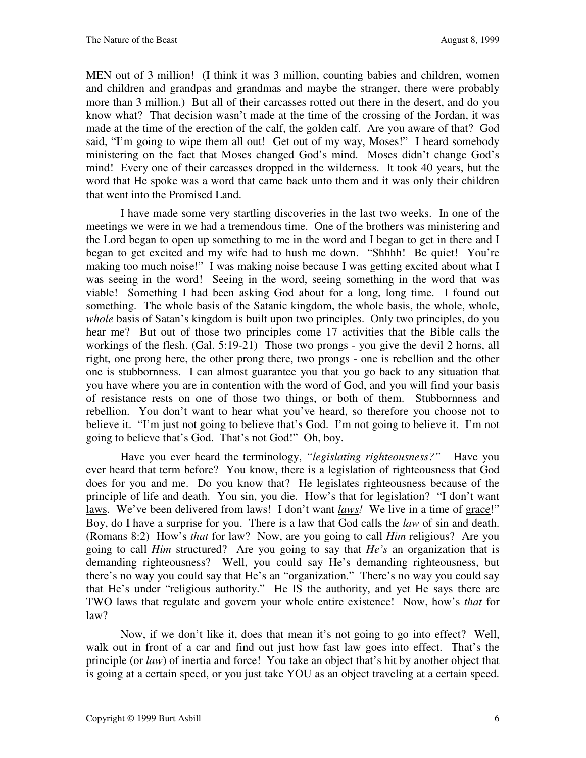MEN out of 3 million! (I think it was 3 million, counting babies and children, women and children and grandpas and grandmas and maybe the stranger, there were probably more than 3 million.) But all of their carcasses rotted out there in the desert, and do you know what? That decision wasn't made at the time of the crossing of the Jordan, it was made at the time of the erection of the calf, the golden calf. Are you aware of that? God said, "I'm going to wipe them all out! Get out of my way, Moses!" I heard somebody ministering on the fact that Moses changed God's mind. Moses didn't change God's mind! Every one of their carcasses dropped in the wilderness. It took 40 years, but the word that He spoke was a word that came back unto them and it was only their children that went into the Promised Land.

I have made some very startling discoveries in the last two weeks. In one of the meetings we were in we had a tremendous time. One of the brothers was ministering and the Lord began to open up something to me in the word and I began to get in there and I began to get excited and my wife had to hush me down. "Shhhh! Be quiet! You're making too much noise!" I was making noise because I was getting excited about what I was seeing in the word! Seeing in the word, seeing something in the word that was viable! Something I had been asking God about for a long, long time. I found out something. The whole basis of the Satanic kingdom, the whole basis, the whole, whole, *whole* basis of Satan's kingdom is built upon two principles. Only two principles, do you hear me? But out of those two principles come 17 activities that the Bible calls the workings of the flesh. (Gal. 5:19-21) Those two prongs - you give the devil 2 horns, all right, one prong here, the other prong there, two prongs - one is rebellion and the other one is stubbornness. I can almost guarantee you that you go back to any situation that you have where you are in contention with the word of God, and you will find your basis of resistance rests on one of those two things, or both of them. Stubbornness and rebellion. You don't want to hear what you've heard, so therefore you choose not to believe it. "I'm just not going to believe that's God. I'm not going to believe it. I'm not going to believe that's God. That's not God!" Oh, boy.

Have you ever heard the terminology, *"legislating righteousness?"* Have you ever heard that term before? You know, there is a legislation of righteousness that God does for you and me. Do you know that? He legislates righteousness because of the principle of life and death. You sin, you die. How's that for legislation? "I don't want laws. We've been delivered from laws! I don't want *laws!* We live in a time of grace!" Boy, do I have a surprise for you. There is a law that God calls the *law* of sin and death. (Romans 8:2) How's *that* for law? Now, are you going to call *Him* religious? Are you going to call *Him* structured? Are you going to say that *He's* an organization that is demanding righteousness? Well, you could say He's demanding righteousness, but there's no way you could say that He's an "organization." There's no way you could say that He's under "religious authority." He IS the authority, and yet He says there are TWO laws that regulate and govern your whole entire existence! Now, how's *that* for law?

Now, if we don't like it, does that mean it's not going to go into effect? Well, walk out in front of a car and find out just how fast law goes into effect. That's the principle (or *law*) of inertia and force! You take an object that's hit by another object that is going at a certain speed, or you just take YOU as an object traveling at a certain speed.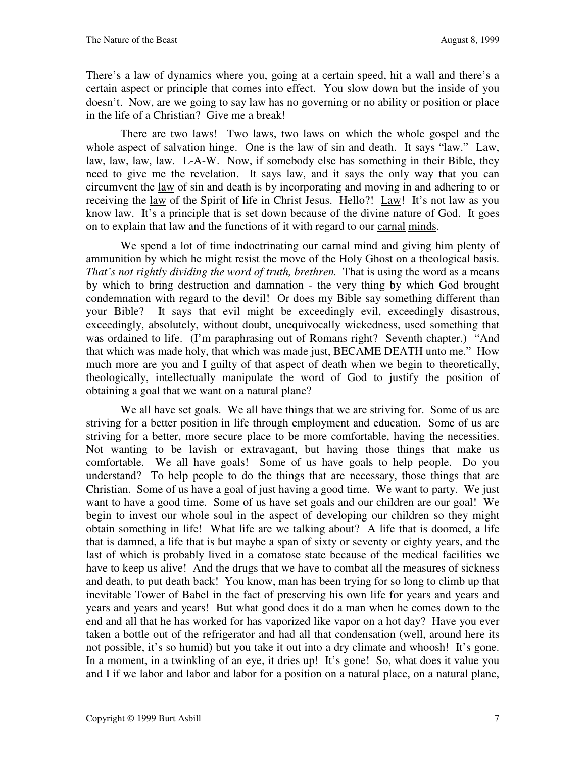There's a law of dynamics where you, going at a certain speed, hit a wall and there's a certain aspect or principle that comes into effect. You slow down but the inside of you doesn't. Now, are we going to say law has no governing or no ability or position or place in the life of a Christian? Give me a break!

There are two laws! Two laws, two laws on which the whole gospel and the whole aspect of salvation hinge. One is the law of sin and death. It says "law." Law, law, law, law, law. L-A-W. Now, if somebody else has something in their Bible, they need to give me the revelation. It says law, and it says the only way that you can circumvent the law of sin and death is by incorporating and moving in and adhering to or receiving the <u>law</u> of the Spirit of life in Christ Jesus. Hello?! Law! It's not law as you know law. It's a principle that is set down because of the divine nature of God. It goes on to explain that law and the functions of it with regard to our carnal minds.

We spend a lot of time indoctrinating our carnal mind and giving him plenty of ammunition by which he might resist the move of the Holy Ghost on a theological basis. *That's not rightly dividing the word of truth, brethren.* That is using the word as a means by which to bring destruction and damnation - the very thing by which God brought condemnation with regard to the devil! Or does my Bible say something different than your Bible? It says that evil might be exceedingly evil, exceedingly disastrous, exceedingly, absolutely, without doubt, unequivocally wickedness, used something that was ordained to life. (I'm paraphrasing out of Romans right? Seventh chapter.) "And that which was made holy, that which was made just, BECAME DEATH unto me." How much more are you and I guilty of that aspect of death when we begin to theoretically, theologically, intellectually manipulate the word of God to justify the position of obtaining a goal that we want on a natural plane?

We all have set goals. We all have things that we are striving for. Some of us are striving for a better position in life through employment and education. Some of us are striving for a better, more secure place to be more comfortable, having the necessities. Not wanting to be lavish or extravagant, but having those things that make us comfortable. We all have goals! Some of us have goals to help people. Do you understand? To help people to do the things that are necessary, those things that are Christian. Some of us have a goal of just having a good time. We want to party. We just want to have a good time. Some of us have set goals and our children are our goal! We begin to invest our whole soul in the aspect of developing our children so they might obtain something in life! What life are we talking about? A life that is doomed, a life that is damned, a life that is but maybe a span of sixty or seventy or eighty years, and the last of which is probably lived in a comatose state because of the medical facilities we have to keep us alive! And the drugs that we have to combat all the measures of sickness and death, to put death back! You know, man has been trying for so long to climb up that inevitable Tower of Babel in the fact of preserving his own life for years and years and years and years and years! But what good does it do a man when he comes down to the end and all that he has worked for has vaporized like vapor on a hot day? Have you ever taken a bottle out of the refrigerator and had all that condensation (well, around here its not possible, it's so humid) but you take it out into a dry climate and whoosh! It's gone. In a moment, in a twinkling of an eye, it dries up! It's gone! So, what does it value you and I if we labor and labor and labor for a position on a natural place, on a natural plane,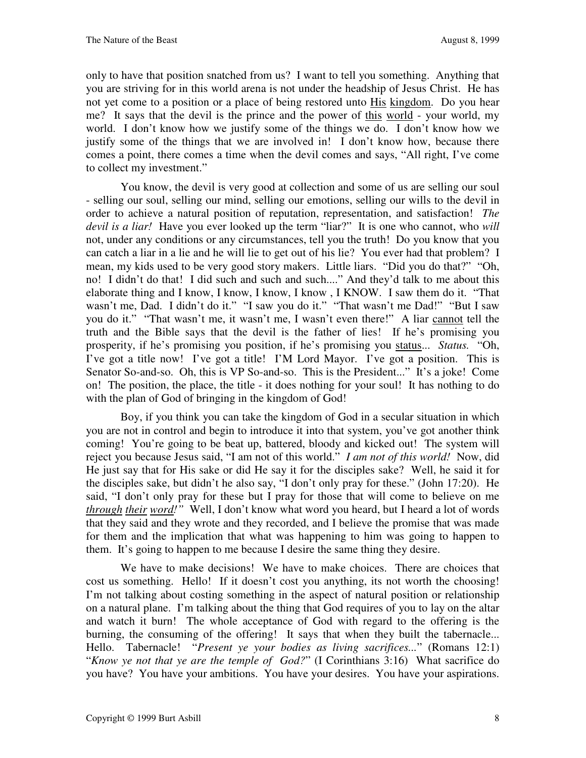only to have that position snatched from us? I want to tell you something. Anything that you are striving for in this world arena is not under the headship of Jesus Christ. He has not yet come to a position or a place of being restored unto His kingdom. Do you hear me? It says that the devil is the prince and the power of this world - your world, my world. I don't know how we justify some of the things we do. I don't know how we justify some of the things that we are involved in! I don't know how, because there comes a point, there comes a time when the devil comes and says, "All right, I've come to collect my investment."

You know, the devil is very good at collection and some of us are selling our soul - selling our soul, selling our mind, selling our emotions, selling our wills to the devil in order to achieve a natural position of reputation, representation, and satisfaction! *The devil is a liar!* Have you ever looked up the term "liar?" It is one who cannot, who *will* not, under any conditions or any circumstances, tell you the truth! Do you know that you can catch a liar in a lie and he will lie to get out of his lie? You ever had that problem? I mean, my kids used to be very good story makers. Little liars. "Did you do that?" "Oh, no! I didn't do that! I did such and such and such...." And they'd talk to me about this elaborate thing and I know, I know, I know, I know , I KNOW. I saw them do it. "That wasn't me, Dad. I didn't do it." "I saw you do it." "That wasn't me Dad!" "But I saw you do it." "That wasn't me, it wasn't me, I wasn't even there!" A liar cannot tell the truth and the Bible says that the devil is the father of lies! If he's promising you prosperity, if he's promising you position, if he's promising you status... *Status.* "Oh, I've got a title now! I've got a title! I'M Lord Mayor. I've got a position. This is Senator So-and-so. Oh, this is VP So-and-so. This is the President..." It's a joke! Come on! The position, the place, the title - it does nothing for your soul! It has nothing to do with the plan of God of bringing in the kingdom of God!

Boy, if you think you can take the kingdom of God in a secular situation in which you are not in control and begin to introduce it into that system, you've got another think coming! You're going to be beat up, battered, bloody and kicked out! The system will reject you because Jesus said, "I am not of this world." *I am not of this world!* Now, did He just say that for His sake or did He say it for the disciples sake? Well, he said it for the disciples sake, but didn't he also say, "I don't only pray for these." (John 17:20). He said, "I don't only pray for these but I pray for those that will come to believe on me *through their word!"* Well, I don't know what word you heard, but I heard a lot of words that they said and they wrote and they recorded, and I believe the promise that was made for them and the implication that what was happening to him was going to happen to them. It's going to happen to me because I desire the same thing they desire.

We have to make decisions! We have to make choices. There are choices that cost us something. Hello! If it doesn't cost you anything, its not worth the choosing! I'm not talking about costing something in the aspect of natural position or relationship on a natural plane. I'm talking about the thing that God requires of you to lay on the altar and watch it burn! The whole acceptance of God with regard to the offering is the burning, the consuming of the offering! It says that when they built the tabernacle... Hello. Tabernacle! "*Present ye your bodies as living sacrifices...*" (Romans 12:1) "*Know ye not that ye are the temple of God?*" (I Corinthians 3:16) What sacrifice do you have? You have your ambitions. You have your desires. You have your aspirations.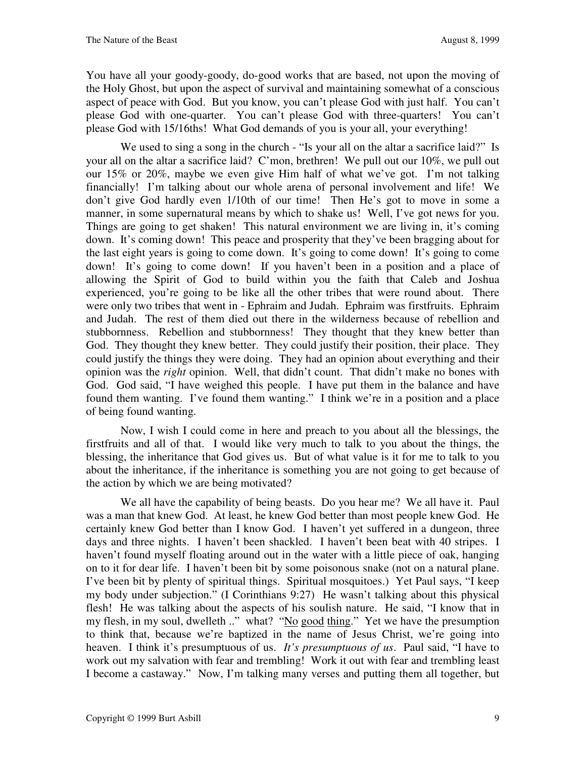You have all your goody-goody, do-good works that are based, not upon the moving of the Holy Ghost, but upon the aspect of survival and maintaining somewhat of a conscious aspect of peace with God. But you know, you can't please God with just half. You can't please God with one-quarter. You can't please God with three-quarters! You can't please God with 15/16ths! What God demands of you is your all, your everything!

We used to sing a song in the church - "Is your all on the altar a sacrifice laid?" Is your all on the altar a sacrifice laid? C'mon, brethren! We pull out our 10%, we pull out our 15% or 20%, maybe we even give Him half of what we've got. I'm not talking financially! I'm talking about our whole arena of personal involvement and life! We don't give God hardly even 1/10th of our time! Then He's got to move in some a manner, in some supernatural means by which to shake us! Well, I've got news for you. Things are going to get shaken! This natural environment we are living in, it's coming down. It's coming down! This peace and prosperity that they've been bragging about for the last eight years is going to come down. It's going to come down! It's going to come down! It's going to come down! If you haven't been in a position and a place of allowing the Spirit of God to build within you the faith that Caleb and Joshua experienced, you're going to be like all the other tribes that were round about. There were only two tribes that went in - Ephraim and Judah. Ephraim was firstfruits. Ephraim and Judah. The rest of them died out there in the wilderness because of rebellion and stubbornness. Rebellion and stubbornness! They thought that they knew better than God. They thought they knew better. They could justify their position, their place. They could justify the things they were doing. They had an opinion about everything and their opinion was the *right* opinion. Well, that didn't count. That didn't make no bones with God. God said, "I have weighed this people. I have put them in the balance and have found them wanting. I've found them wanting." I think we're in a position and a place of being found wanting.

Now, I wish I could come in here and preach to you about all the blessings, the firstfruits and all of that. I would like very much to talk to you about the things, the blessing, the inheritance that God gives us. But of what value is it for me to talk to you about the inheritance, if the inheritance is something you are not going to get because of the action by which we are being motivated?

We all have the capability of being beasts. Do you hear me? We all have it. Paul was a man that knew God. At least, he knew God better than most people knew God. He certainly knew God better than I know God. I haven't yet suffered in a dungeon, three days and three nights. I haven't been shackled. I haven't been beat with 40 stripes. I haven't found myself floating around out in the water with a little piece of oak, hanging on to it for dear life. I haven't been bit by some poisonous snake (not on a natural plane. I've been bit by plenty of spiritual things. Spiritual mosquitoes.) Yet Paul says, "I keep my body under subjection." (I Corinthians 9:27) He wasn't talking about this physical flesh! He was talking about the aspects of his soulish nature. He said, "I know that in my flesh, in my soul, dwelleth .." what? "No good thing." Yet we have the presumption to think that, because we're baptized in the name of Jesus Christ, we're going into heaven. I think it's presumptuous of us. *It's presumptuous of us*. Paul said, "I have to work out my salvation with fear and trembling! Work it out with fear and trembling least I become a castaway." Now, I'm talking many verses and putting them all together, but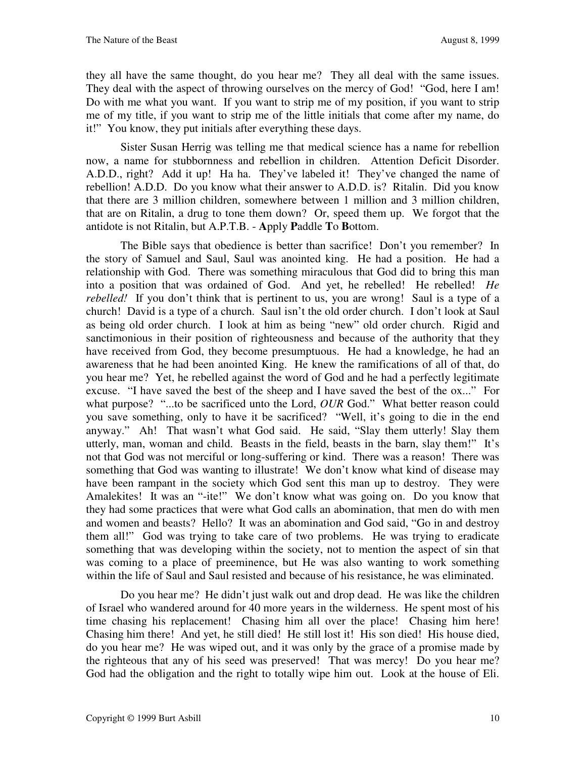they all have the same thought, do you hear me? They all deal with the same issues. They deal with the aspect of throwing ourselves on the mercy of God! "God, here I am! Do with me what you want. If you want to strip me of my position, if you want to strip me of my title, if you want to strip me of the little initials that come after my name, do it!" You know, they put initials after everything these days.

Sister Susan Herrig was telling me that medical science has a name for rebellion now, a name for stubbornness and rebellion in children. Attention Deficit Disorder. A.D.D., right? Add it up! Ha ha. They've labeled it! They've changed the name of rebellion! A.D.D. Do you know what their answer to A.D.D. is? Ritalin. Did you know that there are 3 million children, somewhere between 1 million and 3 million children, that are on Ritalin, a drug to tone them down? Or, speed them up. We forgot that the antidote is not Ritalin, but A.P.T.B. - **A**pply **P**addle **T**o **B**ottom.

The Bible says that obedience is better than sacrifice! Don't you remember? In the story of Samuel and Saul, Saul was anointed king. He had a position. He had a relationship with God. There was something miraculous that God did to bring this man into a position that was ordained of God. And yet, he rebelled! He rebelled! *He rebelled!* If you don't think that is pertinent to us, you are wrong! Saul is a type of a church! David is a type of a church. Saul isn't the old order church. I don't look at Saul as being old order church. I look at him as being "new" old order church. Rigid and sanctimonious in their position of righteousness and because of the authority that they have received from God, they become presumptuous. He had a knowledge, he had an awareness that he had been anointed King. He knew the ramifications of all of that, do you hear me? Yet, he rebelled against the word of God and he had a perfectly legitimate excuse. "I have saved the best of the sheep and I have saved the best of the ox..." For what purpose? "...to be sacrificed unto the Lord, OUR God." What better reason could you save something, only to have it be sacrificed? "Well, it's going to die in the end anyway." Ah! That wasn't what God said. He said, "Slay them utterly! Slay them utterly, man, woman and child. Beasts in the field, beasts in the barn, slay them!" It's not that God was not merciful or long-suffering or kind. There was a reason! There was something that God was wanting to illustrate! We don't know what kind of disease may have been rampant in the society which God sent this man up to destroy. They were Amalekites! It was an "-ite!" We don't know what was going on. Do you know that they had some practices that were what God calls an abomination, that men do with men and women and beasts? Hello? It was an abomination and God said, "Go in and destroy them all!" God was trying to take care of two problems. He was trying to eradicate something that was developing within the society, not to mention the aspect of sin that was coming to a place of preeminence, but He was also wanting to work something within the life of Saul and Saul resisted and because of his resistance, he was eliminated.

Do you hear me? He didn't just walk out and drop dead. He was like the children of Israel who wandered around for 40 more years in the wilderness. He spent most of his time chasing his replacement! Chasing him all over the place! Chasing him here! Chasing him there! And yet, he still died! He still lost it! His son died! His house died, do you hear me? He was wiped out, and it was only by the grace of a promise made by the righteous that any of his seed was preserved! That was mercy! Do you hear me? God had the obligation and the right to totally wipe him out. Look at the house of Eli.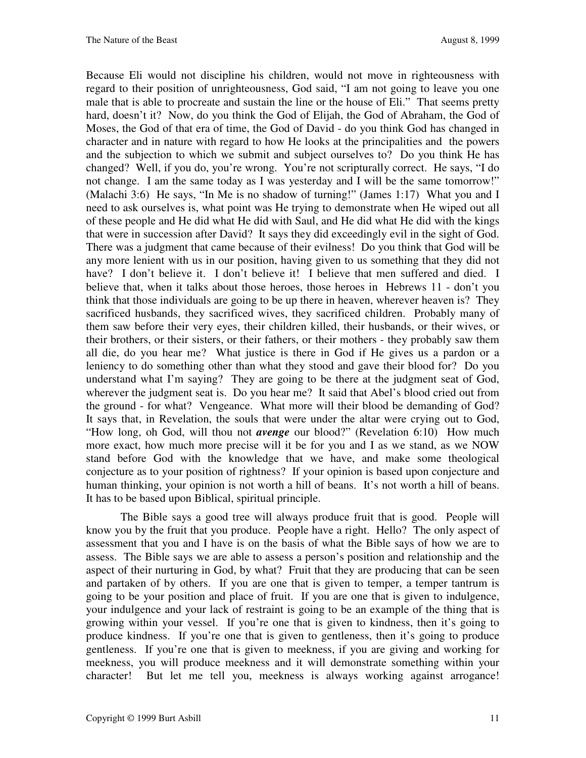Because Eli would not discipline his children, would not move in righteousness with regard to their position of unrighteousness, God said, "I am not going to leave you one male that is able to procreate and sustain the line or the house of Eli." That seems pretty hard, doesn't it? Now, do you think the God of Elijah, the God of Abraham, the God of Moses, the God of that era of time, the God of David - do you think God has changed in character and in nature with regard to how He looks at the principalities and the powers and the subjection to which we submit and subject ourselves to? Do you think He has changed? Well, if you do, you're wrong. You're not scripturally correct. He says, "I do not change. I am the same today as I was yesterday and I will be the same tomorrow!" (Malachi 3:6) He says, "In Me is no shadow of turning!" (James 1:17) What you and I need to ask ourselves is, what point was He trying to demonstrate when He wiped out all of these people and He did what He did with Saul, and He did what He did with the kings that were in succession after David? It says they did exceedingly evil in the sight of God. There was a judgment that came because of their evilness! Do you think that God will be any more lenient with us in our position, having given to us something that they did not have? I don't believe it. I don't believe it! I believe that men suffered and died. I believe that, when it talks about those heroes, those heroes in Hebrews 11 - don't you think that those individuals are going to be up there in heaven, wherever heaven is? They sacrificed husbands, they sacrificed wives, they sacrificed children. Probably many of them saw before their very eyes, their children killed, their husbands, or their wives, or their brothers, or their sisters, or their fathers, or their mothers - they probably saw them all die, do you hear me? What justice is there in God if He gives us a pardon or a leniency to do something other than what they stood and gave their blood for? Do you understand what I'm saying? They are going to be there at the judgment seat of God, wherever the judgment seat is. Do you hear me? It said that Abel's blood cried out from the ground - for what? Vengeance. What more will their blood be demanding of God? It says that, in Revelation, the souls that were under the altar were crying out to God, "How long, oh God, will thou not *avenge* our blood?" (Revelation 6:10) How much more exact, how much more precise will it be for you and I as we stand, as we NOW stand before God with the knowledge that we have, and make some theological conjecture as to your position of rightness? If your opinion is based upon conjecture and human thinking, your opinion is not worth a hill of beans. It's not worth a hill of beans. It has to be based upon Biblical, spiritual principle.

The Bible says a good tree will always produce fruit that is good. People will know you by the fruit that you produce. People have a right. Hello? The only aspect of assessment that you and I have is on the basis of what the Bible says of how we are to assess. The Bible says we are able to assess a person's position and relationship and the aspect of their nurturing in God, by what? Fruit that they are producing that can be seen and partaken of by others. If you are one that is given to temper, a temper tantrum is going to be your position and place of fruit. If you are one that is given to indulgence, your indulgence and your lack of restraint is going to be an example of the thing that is growing within your vessel. If you're one that is given to kindness, then it's going to produce kindness. If you're one that is given to gentleness, then it's going to produce gentleness. If you're one that is given to meekness, if you are giving and working for meekness, you will produce meekness and it will demonstrate something within your character! But let me tell you, meekness is always working against arrogance!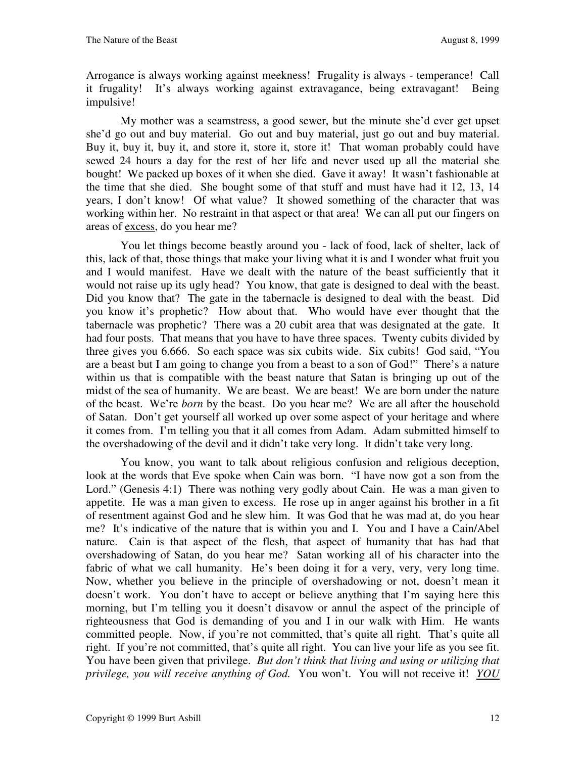Arrogance is always working against meekness! Frugality is always - temperance! Call it frugality! It's always working against extravagance, being extravagant! Being impulsive!

My mother was a seamstress, a good sewer, but the minute she'd ever get upset she'd go out and buy material. Go out and buy material, just go out and buy material. Buy it, buy it, buy it, and store it, store it, store it! That woman probably could have sewed 24 hours a day for the rest of her life and never used up all the material she bought! We packed up boxes of it when she died. Gave it away! It wasn't fashionable at the time that she died. She bought some of that stuff and must have had it 12, 13, 14 years, I don't know! Of what value? It showed something of the character that was working within her. No restraint in that aspect or that area! We can all put our fingers on areas of excess, do you hear me?

You let things become beastly around you - lack of food, lack of shelter, lack of this, lack of that, those things that make your living what it is and I wonder what fruit you and I would manifest. Have we dealt with the nature of the beast sufficiently that it would not raise up its ugly head? You know, that gate is designed to deal with the beast. Did you know that? The gate in the tabernacle is designed to deal with the beast. Did you know it's prophetic? How about that. Who would have ever thought that the tabernacle was prophetic? There was a 20 cubit area that was designated at the gate. It had four posts. That means that you have to have three spaces. Twenty cubits divided by three gives you 6.666. So each space was six cubits wide. Six cubits! God said, "You are a beast but I am going to change you from a beast to a son of God!" There's a nature within us that is compatible with the beast nature that Satan is bringing up out of the midst of the sea of humanity. We are beast. We are beast! We are born under the nature of the beast. We're *born* by the beast. Do you hear me? We are all after the household of Satan. Don't get yourself all worked up over some aspect of your heritage and where it comes from. I'm telling you that it all comes from Adam. Adam submitted himself to the overshadowing of the devil and it didn't take very long. It didn't take very long.

You know, you want to talk about religious confusion and religious deception, look at the words that Eve spoke when Cain was born. "I have now got a son from the Lord." (Genesis 4:1) There was nothing very godly about Cain. He was a man given to appetite. He was a man given to excess. He rose up in anger against his brother in a fit of resentment against God and he slew him. It was God that he was mad at, do you hear me? It's indicative of the nature that is within you and I. You and I have a Cain/Abel nature. Cain is that aspect of the flesh, that aspect of humanity that has had that overshadowing of Satan, do you hear me? Satan working all of his character into the fabric of what we call humanity. He's been doing it for a very, very, very long time. Now, whether you believe in the principle of overshadowing or not, doesn't mean it doesn't work. You don't have to accept or believe anything that I'm saying here this morning, but I'm telling you it doesn't disavow or annul the aspect of the principle of righteousness that God is demanding of you and I in our walk with Him. He wants committed people. Now, if you're not committed, that's quite all right. That's quite all right. If you're not committed, that's quite all right. You can live your life as you see fit. You have been given that privilege. *But don't think that living and using or utilizing that privilege, you will receive anything of God.* You won't. You will not receive it! *YOU*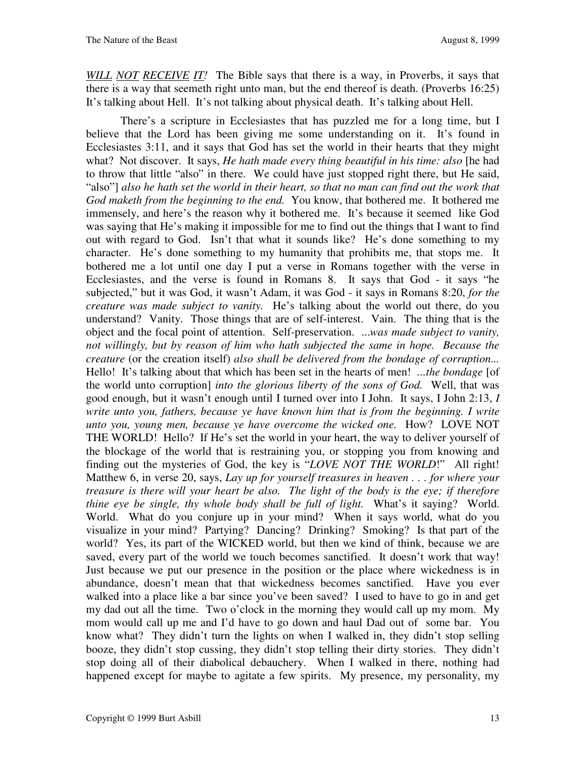*WILL NOT RECEIVE IT!* The Bible says that there is a way, in Proverbs, it says that there is a way that seemeth right unto man, but the end thereof is death. (Proverbs 16:25) It's talking about Hell. It's not talking about physical death. It's talking about Hell.

There's a scripture in Ecclesiastes that has puzzled me for a long time, but I believe that the Lord has been giving me some understanding on it. It's found in Ecclesiastes 3:11, and it says that God has set the world in their hearts that they might what? Not discover. It says, *He hath made every thing beautiful in his time: also* [he had to throw that little "also" in there. We could have just stopped right there, but He said, "also"] *also he hath set the world in their heart, so that no man can find out the work that God maketh from the beginning to the end.* You know, that bothered me. It bothered me immensely, and here's the reason why it bothered me. It's because it seemed like God was saying that He's making it impossible for me to find out the things that I want to find out with regard to God. Isn't that what it sounds like? He's done something to my character. He's done something to my humanity that prohibits me, that stops me. It bothered me a lot until one day I put a verse in Romans together with the verse in Ecclesiastes, and the verse is found in Romans 8. It says that God - it says "he subjected," but it was God, it wasn't Adam, it was God - it says in Romans 8:20, *for the creature was made subject to vanity.* He's talking about the world out there, do you understand? Vanity. Those things that are of self-interest. Vain. The thing that is the object and the focal point of attention. Self-preservation. ...*was made subject to vanity, not willingly, but by reason of him who hath subjected the same in hope. Because the creature* (or the creation itself) *also shall be delivered from the bondage of corruption...* Hello! It's talking about that which has been set in the hearts of men! *...the bondage* [of the world unto corruption] *into the glorious liberty of the sons of God.* Well, that was good enough, but it wasn't enough until I turned over into I John. It says, I John 2:13, *I write unto you, fathers, because ye have known him that is from the beginning. I write unto you, young men, because ye have overcome the wicked one.* How? LOVE NOT THE WORLD! Hello? If He's set the world in your heart, the way to deliver yourself of the blockage of the world that is restraining you, or stopping you from knowing and finding out the mysteries of God, the key is "*LOVE NOT THE WORLD*!" All right! Matthew 6, in verse 20, says, *Lay up for yourself treasures in heaven . . . for where your treasure is there will your heart be also. The light of the body is the eye; if therefore thine eye be single, thy whole body shall be full of light.* What's it saying? World. World. What do you conjure up in your mind? When it says world, what do you visualize in your mind? Partying? Dancing? Drinking? Smoking? Is that part of the world? Yes, its part of the WICKED world, but then we kind of think, because we are saved, every part of the world we touch becomes sanctified. It doesn't work that way! Just because we put our presence in the position or the place where wickedness is in abundance, doesn't mean that that wickedness becomes sanctified. Have you ever walked into a place like a bar since you've been saved? I used to have to go in and get my dad out all the time. Two o'clock in the morning they would call up my mom. My mom would call up me and I'd have to go down and haul Dad out of some bar. You know what? They didn't turn the lights on when I walked in, they didn't stop selling booze, they didn't stop cussing, they didn't stop telling their dirty stories. They didn't stop doing all of their diabolical debauchery. When I walked in there, nothing had happened except for maybe to agitate a few spirits. My presence, my personality, my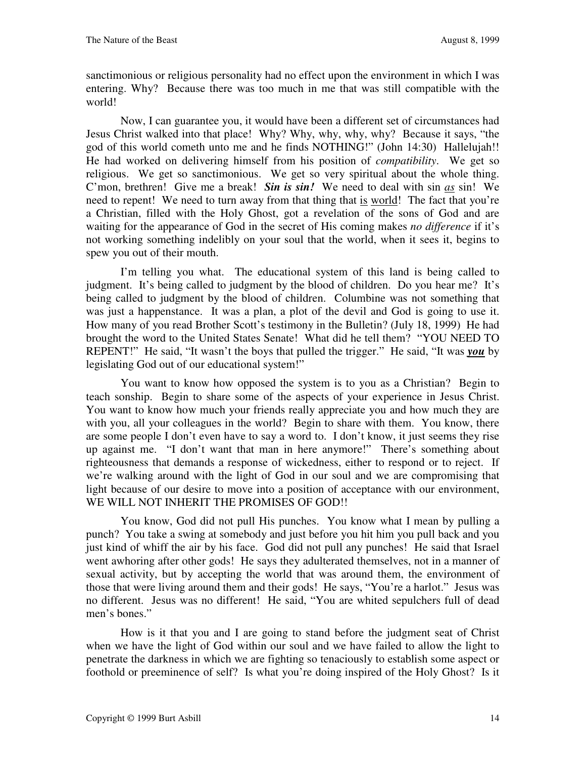sanctimonious or religious personality had no effect upon the environment in which I was entering. Why? Because there was too much in me that was still compatible with the world!

Now, I can guarantee you, it would have been a different set of circumstances had Jesus Christ walked into that place! Why? Why, why, why, why? Because it says, "the god of this world cometh unto me and he finds NOTHING!" (John 14:30) Hallelujah!! He had worked on delivering himself from his position of *compatibility*. We get so religious. We get so sanctimonious. We get so very spiritual about the whole thing. C'mon, brethren! Give me a break! *Sin is sin!* We need to deal with sin *as* sin! We need to repent! We need to turn away from that thing that is world! The fact that you're a Christian, filled with the Holy Ghost, got a revelation of the sons of God and are waiting for the appearance of God in the secret of His coming makes *no difference* if it's not working something indelibly on your soul that the world, when it sees it, begins to spew you out of their mouth.

I'm telling you what. The educational system of this land is being called to judgment. It's being called to judgment by the blood of children. Do you hear me? It's being called to judgment by the blood of children. Columbine was not something that was just a happenstance. It was a plan, a plot of the devil and God is going to use it. How many of you read Brother Scott's testimony in the Bulletin? (July 18, 1999) He had brought the word to the United States Senate! What did he tell them? "YOU NEED TO REPENT!" He said, "It wasn't the boys that pulled the trigger." He said, "It was *you* by legislating God out of our educational system!"

You want to know how opposed the system is to you as a Christian? Begin to teach sonship. Begin to share some of the aspects of your experience in Jesus Christ. You want to know how much your friends really appreciate you and how much they are with you, all your colleagues in the world? Begin to share with them. You know, there are some people I don't even have to say a word to. I don't know, it just seems they rise up against me. "I don't want that man in here anymore!" There's something about righteousness that demands a response of wickedness, either to respond or to reject. If we're walking around with the light of God in our soul and we are compromising that light because of our desire to move into a position of acceptance with our environment, WE WILL NOT INHERIT THE PROMISES OF GOD!!

You know, God did not pull His punches. You know what I mean by pulling a punch? You take a swing at somebody and just before you hit him you pull back and you just kind of whiff the air by his face. God did not pull any punches! He said that Israel went awhoring after other gods! He says they adulterated themselves, not in a manner of sexual activity, but by accepting the world that was around them, the environment of those that were living around them and their gods! He says, "You're a harlot." Jesus was no different. Jesus was no different! He said, "You are whited sepulchers full of dead men's bones."

How is it that you and I are going to stand before the judgment seat of Christ when we have the light of God within our soul and we have failed to allow the light to penetrate the darkness in which we are fighting so tenaciously to establish some aspect or foothold or preeminence of self? Is what you're doing inspired of the Holy Ghost? Is it